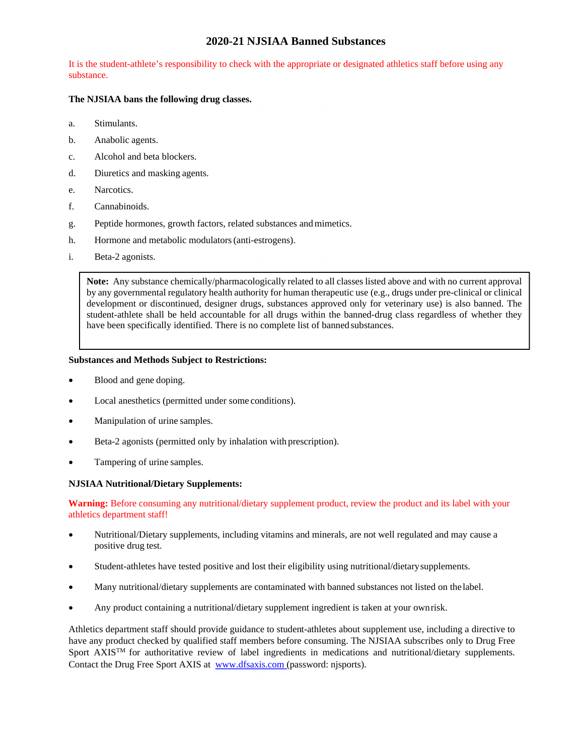# **2020-21 NJSIAA Banned Substances**

It is the student-athlete's responsibility to check with the appropriate or designated athletics staff before using any substance.

# **The NJSIAA bans the following drug classes.**

- a. Stimulants.
- b. Anabolic agents.
- c. Alcohol and beta blockers.
- d. Diuretics and masking agents.
- e. Narcotics.
- f. Cannabinoids.
- g. Peptide hormones, growth factors, related substances and mimetics.
- h. Hormone and metabolic modulators (anti-estrogens).
- i. Beta-2 agonists.

**Note:** Any substance chemically/pharmacologically related to all classes listed above and with no current approval by any governmental regulatory health authority for human therapeutic use (e.g., drugs under pre-clinical or clinical development or discontinued, designer drugs, substances approved only for veterinary use) is also banned. The student-athlete shall be held accountable for all drugs within the banned-drug class regardless of whether they have been specifically identified. There is no complete list of banned substances.

# **Substances and Methods Subject to Restrictions:**

- Blood and gene doping.
- Local anesthetics (permitted under some conditions).
- Manipulation of urine samples.
- Beta-2 agonists (permitted only by inhalation with prescription).
- Tampering of urine samples.

### **NJSIAA Nutritional/Dietary Supplements:**

**Warning:** Before consuming any nutritional/dietary supplement product, review the product and its label with your athletics department staff!

- Nutritional/Dietary supplements, including vitamins and minerals, are not well regulated and may cause a positive drug test.
- Student-athletes have tested positive and lost their eligibility using nutritional/dietary supplements.
- Many nutritional/dietary supplements are contaminated with banned substances not listed on the label.
- Any product containing a nutritional/dietary supplement ingredient is taken at your own risk.

Athletics department staff should provide guidance to student-athletes about supplement use, including a directive to have any product checked by qualified staff members before consuming. The NJSIAA subscribes only to Drug Free Sport AXIS<sup>TM</sup> for authoritative review of label ingredients in medications and nutritional/dietary supplements. Contact the Drug Free Sport AXIS at www.dfsaxis.com (password: njsports).